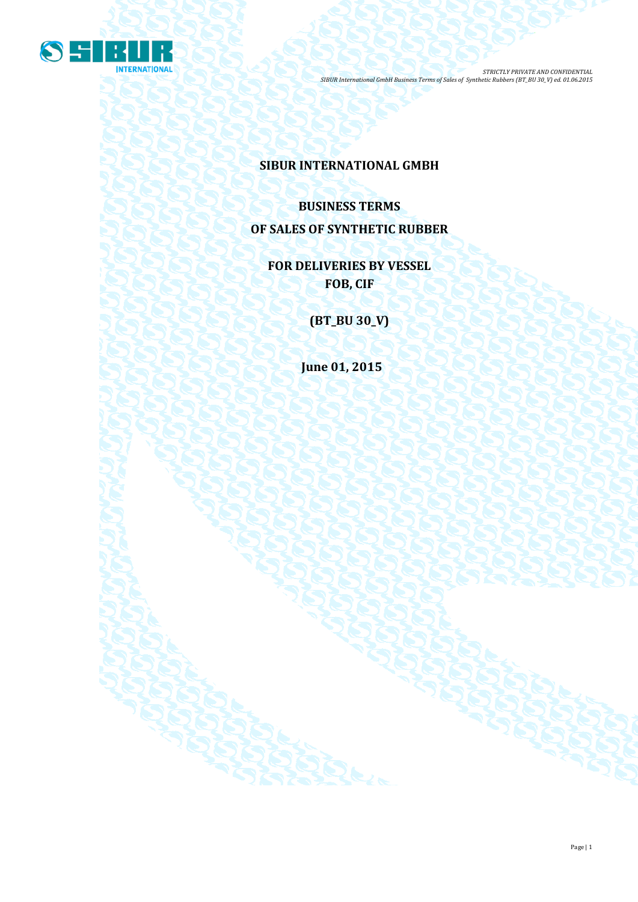

**SIBUR INTERNATIONAL GMBH**

**BUSINESS TERMS OF SALES OF SYNTHETIC RUBBER**

**FOR DELIVERIES BY VESSEL FOB, CIF**

**(BT\_BU 30\_V)**

**June 01, 2015**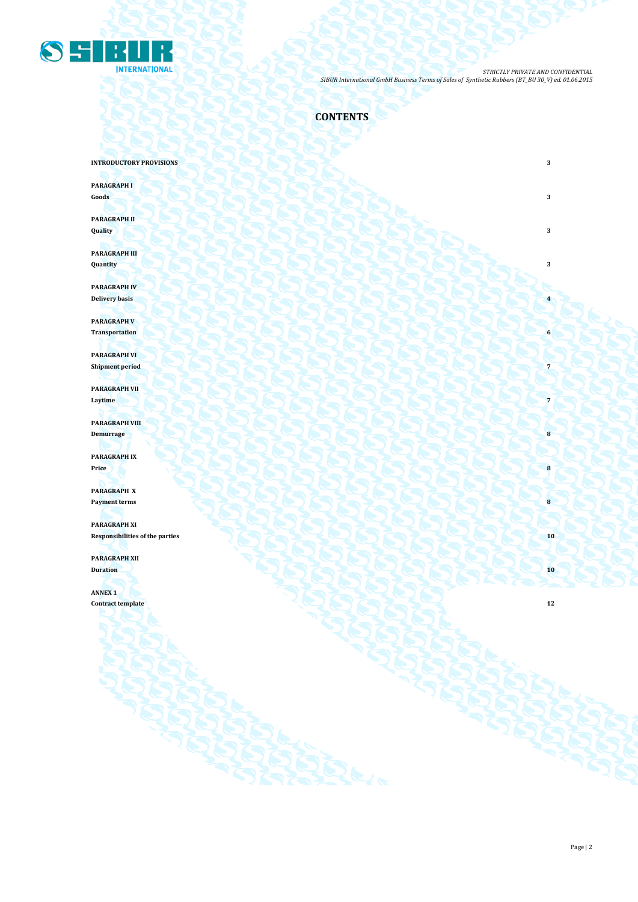

**CONTENTS**

**INTRODUCTORY PROVISIONS** 3

**PARAGRAPH I**

**Goods 3 3** 

**PARAGRAPH II Quality 3**

**PARAGRAPH III Quantity 3**

**PARAGRAPH IV Delivery basis 4 1999 1999 1999 1999 1999 1999 1999 1999 1999 1999 1999 1999 1999 1999 1999 1999 1999 1999 1999 1999 1999 1999 1999 1999 1999 1999 1999 1999 1999** 

**PARAGRAPH V Transportation 6** 

**PARAGRAPH VI Shipment period 7** 

**PARAGRAPH VII Laytime 7 1** *Caption <b>7 Caption* **7** *Caption <b>7 Caption 7 Caption 7 Caption 7 Caption 7 Caption 7 Caption 7 Caption 7 Caption 7 Caption 7 Caption 7 Caption 7 Capt* 

**PARAGRAPH VIII Demurrage 18** 

**PARAGRAPH IX Price 8**

**PARAGRAPH X Payment terms 8** 

**PARAGRAPH XI Responsibilities of the parties 10 PARAGRAPH XII**

**Duration 10**

**ANNEX 1 Contract template 12**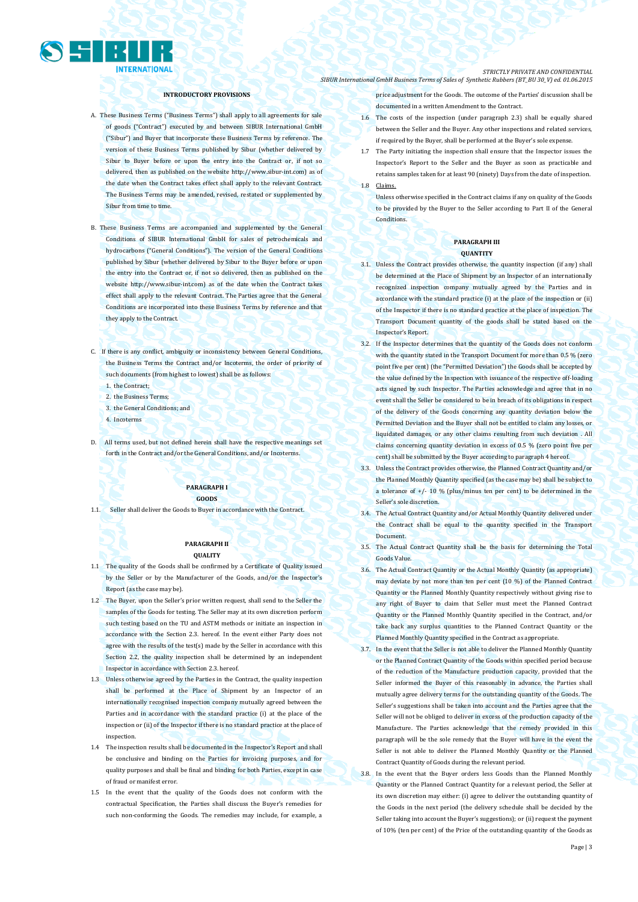

### **INTRODUCTORY PROVISIONS**

- A. These Business Terms ("Business Terms") shall apply to all agreements for sale of goods ("Contract") executed by and between SIBUR International GmbH ("Sibur") and Buyer that incorporate these Business Terms by reference. The version of these Business Terms published by Sibur (whether delivered by Sibur to Buyer before or upon the entry into the Contract or, if not so delivered, then as published on the websit[e http://www.sibur-int.com\)](http://www.sibur-int.com/) as of the date when the Contract takes effect shall apply to the relevant Contract. The Business Terms may be amended, revised, restated or supplemented by Sibur from time to time.
- B. These Business Terms are accompanied and supplemented by the General Conditions of SIBUR International GmbH for sales of petrochemicals and hydrocarbons ("General Conditions"). The version of the General Conditions published by Sibur (whether delivered by Sibur to the Buyer before or upon the entry into the Contract or, if not so delivered, then as published on the website [http://www.sibur-int.com\)](http://www.sibur-int.com/) as of the date when the Contract takes effect shall apply to the relevant Contract. The Parties agree that the General Conditions are incorporated into these Business Terms by reference and that they apply to the Contract.
- C. If there is any conflict, ambiguity or inconsistency between General Conditions, the Business Terms the Contract and/or Incoterms, the order of priority of such documents (from highest to lowest) shall be as follows:
	- 1. the Contract;
	- 2. the Business Terms;
	- 3. the General Conditions; and
	- 4. Incoterms
- D. All terms used, but not defined herein shall have the respective meanings set forth in the Contract and/or the General Conditions, and/or Incoterms.

### **PARAGRAPH I GOODS**

1.1. Seller shall deliver the Goods to Buyer in accordance with the Contract.

### **PARAGRAPH II QUALITY**

- 1.1 The quality of the Goods shall be confirmed by a Certificate of Quality issued by the Seller or by the Manufacturer of the Goods, and/or the Inspector's Report (as the case may be).
- 1.2 The Buyer, upon the Seller's prior written request, shall send to the Seller the samples of the Goods for testing. The Seller may at its own discretion perform such testing based on the TU and ASTM methods or initiate an inspection in accordance with the Section 2.3. hereof. In the event either Party does not agree with the results of the test(s) made by the Seller in accordance with this Section 2.2, the quality inspection shall be determined by an independent Inspector in accordance with Section 2.3. hereof.
- 1.3 Unless otherwise agreed by the Parties in the Contract, the quality inspection shall be performed at the Place of Shipment by an Inspector of an internationally recognised inspection company mutually agreed between the Parties and in accordance with the standard practice (i) at the place of the inspection or (ii) of the Inspector if there is no standard practice at the place of inspection.
- 1.4 The inspection results shall be documented in the Inspector's Report and shall be conclusive and binding on the Parties for invoicing purposes, and for quality purposes and shall be final and binding for both Parties, except in case of fraud or manifest error.
- 1.5 In the event that the quality of the Goods does not conform with the contractual Specification, the Parties shall discuss the Buyer's remedies for such non-conforming the Goods. The remedies may include, for example, a

#### *STRICTLY PRIVATE AND CONFIDENTIAL SIBUR International GmbH Business Terms of Sales of Synthetic Rubbers (BT\_BU 30\_V) ed. 01.06.2015*

price adjustment for the Goods. The outcome of the Parties' discussion shall be documented in a written Amendment to the Contract.

- 1.6 The costs of the inspection (under paragraph 2.3) shall be equally shared between the Seller and the Buyer. Any other inspections and related services, if required by the Buyer, shall be performed at the Buyer's sole expense.
- 1.7 The Party initiating the inspection shall ensure that the Inspector issues the Inspector's Report to the Seller and the Buyer as soon as practicable and retains samples taken for at least 90 (ninety) Days from the date of inspection. 1.8 Claims.
	- Unless otherwise specified in the Contract claims if any on quality of the Goods to be provided by the Buyer to the Seller according to Part II of the General Conditions.

### **PARAGRAPH III QUANTITY**

- 3.1. Unless the Contract provides otherwise, the quantity inspection (if any) shall be determined at the Place of Shipment by an Inspector of an internationally recognized inspection company mutually agreed by the Parties and in accordance with the standard practice (i) at the place of the inspection or (ii) of the Inspector if there is no standard practice at the place of inspection. The Transport Document quantity of the goods shall be stated based on the Inspector's Report.
- 3.2. If the Inspector determines that the quantity of the Goods does not conform with the quantity stated in the Transport Document for more than 0.5 % (zero point five per cent) (the "Permitted Deviation") the Goods shall be accepted by the value defined by the Inspection with issuance of the respective off-loading acts signed by such Inspector. The Parties acknowledge and agree that in no event shall the Seller be considered to be in breach of its obligations in respect of the delivery of the Goods concerning any quantity deviation below the Permitted Deviation and the Buyer shall not be entitled to claim any losses, or liquidated damages, or any other claims resulting from such deviation . All claims concerning quantity deviation in excess of 0.5 % (zero point five per cent) shall be submitted by the Buyer according to paragraph 4 hereof.
- 3.3. Unless the Contract provides otherwise, the Planned Contract Quantity and/or the Planned Monthly Quantity specified (as the case may be) shall be subject to a tolerance of  $+/- 10$  % (plus/minus ten per cent) to be determined in the Seller's sole discretion.
- 3.4. The Actual Contract Quantity and/or Actual Monthly Quantity delivered under the Contract shall be equal to the quantity specified in the Transport Document.
- 3.5. The Actual Contract Quantity shall be the basis for determining the Total Goods Value.
- 3.6. The Actual Contract Quantity or the Actual Monthly Quantity (as appropriate) may deviate by not more than ten per cent (10 %) of the Planned Contract Quantity or the Planned Monthly Quantity respectively without giving rise to any right of Buyer to claim that Seller must meet the Planned Contract Quantity or the Planned Monthly Quantity specified in the Contract, and/or take back any surplus quantities to the Planned Contract Quantity or the Planned Monthly Quantity specified in the Contract as appropriate.
- 3.7. In the event that the Seller is not able to deliver the Planned Monthly Quantity or the Planned Contract Quantity of the Goods within specified period because of the reduction of the Manufacture production capacity, provided that the Seller informed the Buyer of this reasonably in advance, the Parties shall mutually agree delivery terms for the outstanding quantity of the Goods. The Seller's suggestions shall be taken into account and the Parties agree that the Seller will not be obliged to deliver in excess of the production capacity of the Manufacture. The Parties acknowledge that the remedy provided in this paragraph will be the sole remedy that the Buyer will have in the event the Seller is not able to deliver the Planned Monthly Quantity or the Planned Contract Quantity of Goods during the relevant period.
- 3.8. In the event that the Buyer orders less Goods than the Planned Monthly Quantity or the Planned Contract Quantity for a relevant period, the Seller at its own discretion may either: (i) agree to deliver the outstanding quantity of the Goods in the next period (the delivery schedule shall be decided by the Seller taking into account the Buyer's suggestions); or (ii) request the payment of 10% (ten per cent) of the Price of the outstanding quantity of the Goods as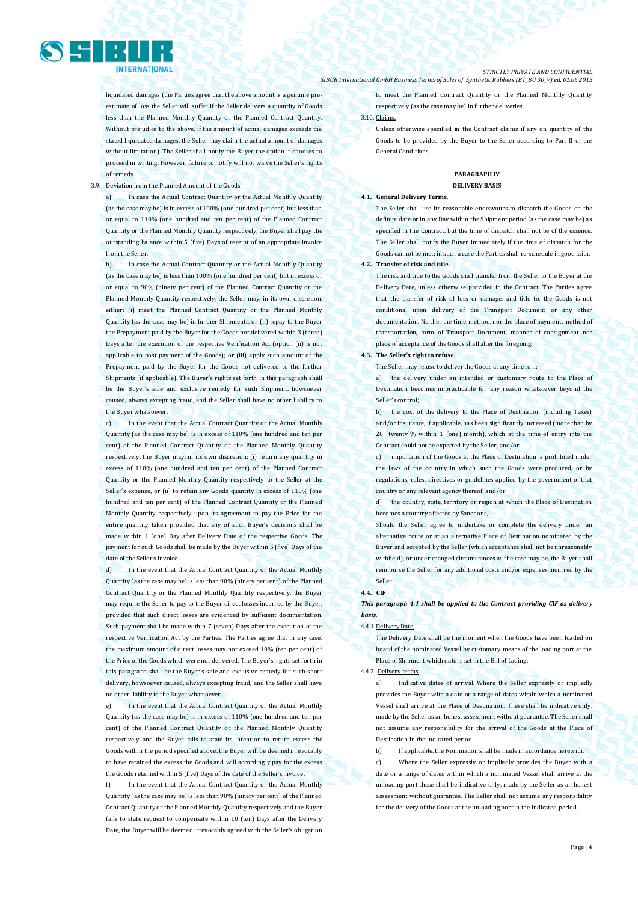liquidated damages (the Parties agree that the above amount is a genuine preestimate of loss the Seller will suffer if the Seller delivers a quantity of Goods less than the Planned Monthly Quantity or the Planned Contract Quantity. Without prejudice to the above, if the amount of actual damages exceeds the stated liquidated damages, the Seller may claim the actual amount of damages without limitation). The Seller shall notify the Buyer the option it chooses to proceed in writing. However, failure to notify will not waive the Seller's rights of remedy.

### 3.9. Deviation from the Planned Amount of the Goods

a) In case the Actual Contract Quantity or the Actual Monthly Quantity (as the case may be) is in excess of 100% (one hundred per cent) but less than or equal to 110% (one hundred and ten per cent) of the Planned Contract Quantity or the Planned Monthly Quantity respectively, the Buyer shall pay the outstanding balance within 5 (five) Days of receipt of an appropriate invoice from the Seller.

In case the Actual Contract Quantity or the Actual Monthly Quantity (as the case may be) is less than 100% (one hundred per cent) but in excess of or equal to 90% (ninety per cent) of the Planned Contract Quantity or the Planned Monthly Quantity respectively, the Seller may, in its own discretion, either: (i) meet the Planned Contract Quantity or the Planned Monthly Quantity (as the case may be) in further Shipments, or (ii) repay to the Buyer the Prepayment paid by the Buyer for the Goods not delivered within 3 (three) Days after the execution of the respective Verification Act (option (ii) is not applicable to post payment of the Goods); or (iii) apply such amount of the Prepayment paid by the Buyer for the Goods not delivered to the further Shipments (if applicable). The Buyer's rights set forth in this paragraph shall be the Buyer's sole and exclusive remedy for such Shipment, howsoever caused, always excepting fraud, and the Seller shall have no other liability to the Buyer whatsoever.

c) In the event that the Actual Contract Quantity or the Actual Monthly Quantity (as the case may be) is in excess of 110% (one hundred and ten per cent) of the Planned Contract Quantity or the Planned Monthly Quantity respectively, the Buyer may, in its own discretion: (i) return any quantity in excess of 110% (one hundred and ten per cent) of the Planned Contract Quantity or the Planned Monthly Quantity respectively to the Seller at the Seller's expense, or (ii) to retain any Goods quantity in excess of 110% (one hundred and ten per cent) of the Planned Contract Quantity or the Planned Monthly Quantity respectively upon its agreement to pay the Price for the entire quantity taken provided that any of such Buyer's decisions shall be made within 1 (one) Day after Delivery Date of the respective Goods. The payment for such Goods shall be made by the Buyer within 5 (five) Days of the date of the Seller's invoice

d) In the event that the Actual Contract Quantity or the Actual Monthly Quantity (as the case may be) is less than 90% (ninety per cent) of the Planned Contract Quantity or the Planned Monthly Quantity respectively, the Buyer may require the Seller to pay to the Buyer direct losses incurred by the Buyer, provided that such direct losses are evidenced by sufficient documentation. Such payment shall be made within 7 (seven) Days after the execution of the respective Verification Act by the Parties. The Parties agree that in any case, the maximum amount of direct losses may not exceed 10% (ten per cent) of the Price of the Goods which were not delivered. The Buyer's rights set forth in this paragraph shall be the Buyer's sole and exclusive remedy for such short delivery, howsoever caused, always excepting fraud, and the Seller shall have no other liability to the Buyer whatsoever.

e) In the event that the Actual Contract Quantity or the Actual Monthly Quantity (as the case may be) is in excess of 110% (one hundred and ten per cent) of the Planned Contract Quantity or the Planned Monthly Quantity respectively and the Buyer fails to state its intention to return excess the Goods within the period specified above, the Buyer will be deemed irrevocably to have retained the excess the Goods and will accordingly pay for the excess the Goods retained within 5 (five) Days of the date of the Seller's invoice.

In the event that the Actual Contract Quantity or the Actual Monthly Quantity (as the case may be) is less than 90% (ninety per cent) of the Planned Contract Quantity or the Planned Monthly Quantity respectively and the Buyer fails to state request to compensate within 10 (ten) Days after the Delivery Date, the Buyer will be deemed irrevocably agreed with the Seller's obligation

#### *STRICTLY PRIVATE AND CONFIDENTIAL SIBUR International GmbH Business Terms of Sales of Synthetic Rubbers (BT\_BU 30\_V) ed. 01.06.2015*

to meet the Planned Contract Quantity or the Planned Monthly Quantity respectively (as the case may be) in further deliveries.

3.10. Claims.

Unless otherwise specified in the Contract claims if any on quantity of the Goods to be provided by the Buyer to the Seller according to Part II of the General Conditions.

### **PARAGRAPH IV DELIVERY BASIS**

### **4.1. General Delivery Terms.**

The Seller shall use its reasonable endeavours to dispatch the Goods on the definite date or in any Day within the Shipment period (as the case may be) as specified in the Contract, but the time of dispatch shall not be of the essence. The Seller shall notify the Buyer immediately if the time of dispatch for the Goods cannot be met; in such a case the Parties shall re-schedule in good faith. **4.2. Transfer of risk and title.** 

The risk and title to the Goods shall transfer from the Seller to the Buyer at the Delivery Date, unless otherwise provided in the Contract. The Parties agree that the transfer of risk of loss or damage, and title to, the Goods is not conditional upon delivery of the Transport Document or any other documentation. Neither the time, method, nor the place of payment, method of transportation, form of Transport Document, manner of consignment nor place of acceptance of the Goods shall alter the foregoing.

#### **4.3. The Seller's right to refuse.**

The Seller may refuse to deliver the Goods at any time to if:

a) the delivery under an intended or customary route to the Place of Destination becomes impracticable for any reason whatsoever beyond the Seller's control;

b) the cost of the delivery to the Place of Destination (including Taxes) and/or insurance, if applicable, has been significantly increased (more than by 20 (twenty)% within 1 (one) month), which at the time of entry into the Contract could not be expected by the Seller; and/or

c) importation of the Goods at the Place of Destination is prohibited under the laws of the country in which such the Goods were produced, or by regulations, rules, directives or guidelines applied by the government of that country or any relevant agency thereof; and/or

d) the country, state, territory or region at which the Place of Destination becomes a country affected by Sanctions,

Should the Seller agree to undertake or complete the delivery under an alternative route or at an alternative Place of Destination nominated by the Buyer and accepted by the Seller (which acceptance shall not be unreasonably withheld), or under changed circumstances as the case may be, the Buyer shall reimburse the Seller for any additional costs and/or expenses incurred by the Seller.

### **4.4. CIF**

*This paragraph 4.4 shall be applied to the Contract providing CIF as delivery basis.*

#### 4.4.1.Delivery Date

The Delivery Date shall be the moment when the Goods have been loaded on board of the nominated Vessel by customary means of the loading port at the Place of Shipment which date is set in the Bill of Lading.

### 4.4.2. Delivery terms

a) Indicative dates of arrival. Where the Seller expressly or impliedly provides the Buyer with a date or a range of dates within which a nominated Vessel shall arrive at the Place of Destination. These shall be indicative only, made by the Seller as an honest assessment without guarantee. The Seller shall not assume any responsibility for the arrival of the Goods at the Place of Destination in the indicated period.

b) If applicable, the Nomination shall be made in accordance herewith. c) Where the Seller expressly or impliedly provides the Buyer with a date or a range of dates within which a nominated Vessel shall arrive at the unloading port these shall be indicative only, made by the Seller as an honest assessment without guarantee. The Seller shall not assume any responsibility for the delivery of the Goods at the unloading port in the indicated period.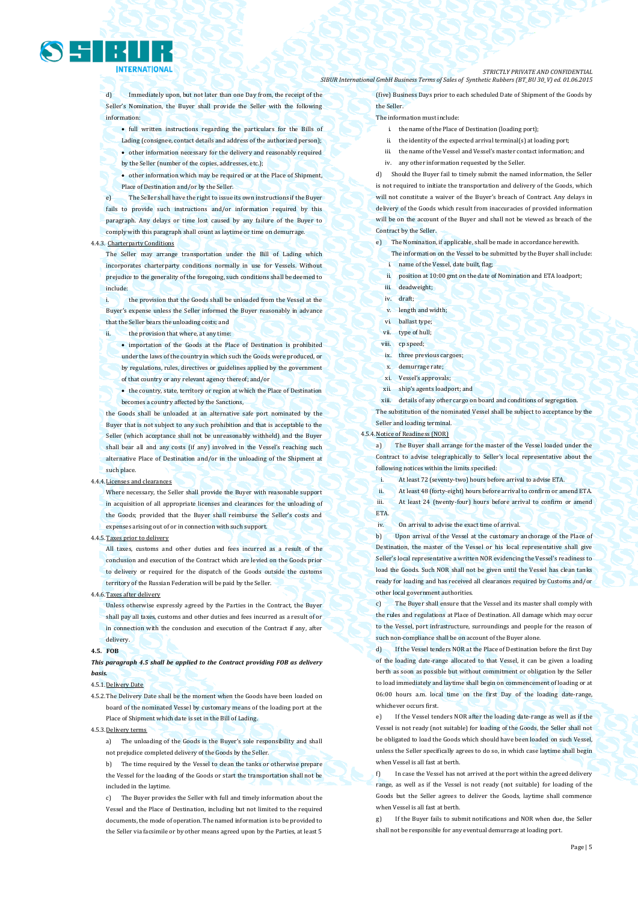

d) Immediately upon, but not later than one Day from, the receipt of the Seller's Nomination, the Buyer shall provide the Seller with the following information:

- full written instructions regarding the particulars for the Bills of Lading (consignee, contact details and address of the authorized person);
- other information necessary for the delivery and reasonably required
- by the Seller (number of the copies, addresses, etc.);

 other information which may be required or at the Place of Shipment, Place of Destination and/or by the Seller.

The Seller shall have the right to issue its own instructions if the Buyer fails to provide such instructions and/or information required by this paragraph. Any delays or time lost caused by any failure of the Buyer to comply with this paragraph shall count as laytime or time on demurrage.

### 4.4.3. Charterparty Conditions

The Seller may arrange transportation under the Bill of Lading which incorporates charterparty conditions normally in use for Vessels. Without prejudice to the generality of the foregoing, such conditions shall be deemed to include:

the provision that the Goods shall be unloaded from the Vessel at the Buyer's expense unless the Seller informed the Buyer reasonably in advance that the Seller bears the unloading costs; and

ii. the provision that where, at any time:

• importation of the Goods at the Place of Destination is prohibited under the laws of the country in which such the Goods were produced, or by regulations, rules, directives or guidelines applied by the government of that country or any relevant agency thereof; and/or

 the country, state, territory or region at which the Place of Destination becomes a country affected by the Sanctions,

the Goods shall be unloaded at an alternative safe port nominated by the Buyer that is not subject to any such prohibition and that is acceptable to the Seller (which acceptance shall not be unreasonably withheld) and the Buyer shall bear all and any costs (if any) involved in the Vessel's reaching such alternative Place of Destination and/or in the unloading of the Shipment at such place.

#### $4.4.4.$

Where necessary, the Seller shall provide the Buyer with reasonable support in acquisition of all appropriate licenses and clearances for the unloading of the Goods; provided that the Buyer shall reimburse the Seller's costs and expenses arising out of or in connection with such support.

### 4.4.5.Taxes prior to delivery

All taxes, customs and other duties and fees incurred as a result of the conclusion and execution of the Contract which are levied on the Goods prior to delivery or required for the dispatch of the Goods outside the customs territory of the Russian Federation will be paid by the Seller.

#### 4.4.6.Taxes after delivery

Unless otherwise expressly agreed by the Parties in the Contract, the Buyer shall pay all taxes, customs and other duties and fees incurred as a result of or in connection with the conclusion and execution of the Contract if any, after delivery.

#### **4.5. FOB**

*This paragraph 4.5 shall be applied to the Contract providing FOB as delivery basis.* 

### 4.5.1.Delivery Date

4.5.2.The Delivery Date shall be the moment when the Goods have been loaded on board of the nominated Vessel by customary means of the loading port at the Place of Shipment which date is set in the Bill of Lading.

#### 4.5.3.Delivery terms

a) The unloading of the Goods is the Buyer's sole responsibility and shall not prejudice completed delivery of the Goods by the Seller.

b) The time required by the Vessel to clean the tanks or otherwise prepare the Vessel for the loading of the Goods or start the transportation shall not be included in the laytime.

c) The Buyer provides the Seller with full and timely information about the Vessel and the Place of Destination, including but not limited to the required documents, the mode of operation. The named information is to be provided to the Seller via facsimile or by other means agreed upon by the Parties, at least 5

#### *STRICTLY PRIVATE AND CONFIDENTIAL SIBUR International GmbH Business Terms of Sales of Synthetic Rubbers (BT\_BU 30\_V) ed. 01.06.2015*

(five) Business Days prior to each scheduled Date of Shipment of the Goods by the Seller.

### The information must include:

- i. the name of the Place of Destination (loading port);
- ii. the identity of the expected arrival terminal(s) at loading port;
- iii. the name of the Vessel and Vessel's master contact information; and
- iv. any other information requested by the Seller.

d) Should the Buyer fail to timely submit the named information, the Seller is not required to initiate the transportation and delivery of the Goods, which will not constitute a waiver of the Buyer's breach of Contract. Any delays in delivery of the Goods which result from inaccuracies of provided information will be on the account of the Buyer and shall not be viewed as breach of the Contract by the Seller.

- e) The Nomination, if applicable, shall be made in accordance herewith.
	- The information on the Vessel to be submitted by the Buyer shall include: i. name of the Vessel, date built, flag;
	- ii. position at 10:00 gmt on the date of Nomination and ETA loadport;
	- iii. deadweight:
	- iv. draft;
- v. length and width;
- vi. ballast type;
- vii. type of hull;
- viii. cp speed:
- ix. three previous cargoes;
- demurrage rate;
- xi. Vessel's approvals;
- xii. ship's agents loadport; and
- xiii. details of any other cargo on board and conditions of segregation.

The substitution of the nominated Vessel shall be subject to acceptance by the Seller and loading terminal.

### 4.5.4.Notice of Readiness (NOR)

ETA.

a) The Buyer shall arrange for the master of the Vessel loaded under the Contract to advise telegraphically to Seller's local representative about the following notices within the limits specified:

- i. At least 72 (seventy-two) hours before arrival to advise ETA.
- ii. At least 48 (forty-eight) hours before arrival to confirm or amend ETA.
- iii. At least 24 (twenty-four) hours before arrival to confirm or amend
- iv. On arrival to advise the exact time of arrival.

b) Upon arrival of the Vessel at the customary anchorage of the Place of Destination, the master of the Vessel or his local representative shall give Seller's local representative a written NOR evidencing the Vessel's readiness to load the Goods. Such NOR shall not be given until the Vessel has clean tanks ready for loading and has received all clearances required by Customs and/or other local government authorities.

c) The Buyer shall ensure that the Vessel and its master shall comply with the rules and regulations at Place of Destination. All damage which may occur to the Vessel, port infrastructure, surroundings and people for the reason of such non-compliance shall be on account of the Buyer alone.

d) If the Vessel tenders NOR at the Place of Destination before the first Day of the loading date-range allocated to that Vessel, it can be given a loading berth as soon as possible but without commitment or obligation by the Seller to load immediately and laytime shall begin on commencement of loading or at 06:00 hours a.m. local time on the first Day of the loading date-range, whichever occurs first.

e) If the Vessel tenders NOR after the loading date-range as well as if the Vessel is not ready (not suitable) for loading of the Goods, the Seller shall not be obligated to load the Goods which should have been loaded on such Vessel, unless the Seller specifically agrees to do so, in which case laytime shall begin when Vessel is all fast at berth.

f) In case the Vessel has not arrived at the port within the agreed delivery range, as well as if the Vessel is not ready (not suitable) for loading of the Goods but the Seller agrees to deliver the Goods, laytime shall commence when Vessel is all fast at berth.

g) If the Buyer fails to submit notifications and NOR when due, the Seller shall not be responsible for any eventual demurrage at loading port.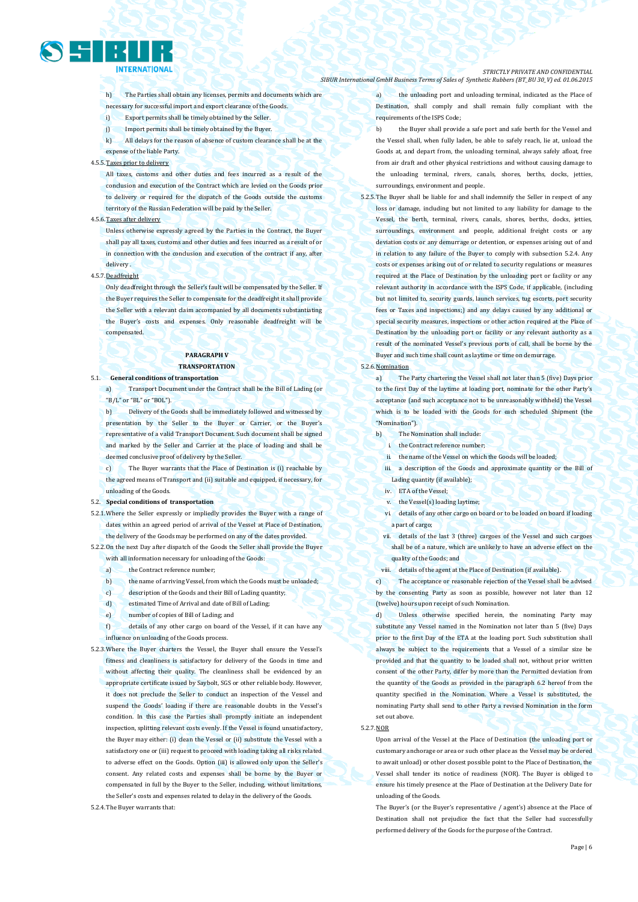

h) The Parties shall obtain any licenses, permits and documents which are necessary for successful import and export clearance of the Goods.

- i) Export permits shall be timely obtained by the Seller.
- j) Import permits shall be timely obtained by the Buyer.
- k) All delays for the reason of absence of custom clearance shall be at the expense of the liable Party.

#### 4.5.5.Taxes prior to delivery

All taxes, customs and other duties and fees incurred as a result of the conclusion and execution of the Contract which are levied on the Goods prior to delivery or required for the dispatch of the Goods outside the customs territory of the Russian Federation will be paid by the Seller.

### 4.5.6.Taxes after delivery

Unless otherwise expressly agreed by the Parties in the Contract, the Buyer shall pay all taxes, customs and other duties and fees incurred as a result of or in connection with the conclusion and execution of the contract if any, after delivery .

### 4.5.7.Deadfreight

Only deadfreight through the Seller's fault will be compensated by the Seller. If the Buyer requires the Seller to compensate for the deadfreight it shall provide the Seller with a relevant claim accompanied by all documents substantiating the Buyer's costs and expenses. Only reasonable deadfreight will be compensated.

### **PARAGRAPH V TRANSPORTATION**

5.1. **General conditions of transportation**

a) Transport Document under the Contract shall be the Bill of Lading (or "B/L" or "BL" or "BOL").

b) Delivery of the Goods shall be immediately followed and witnessed by presentation by the Seller to the Buyer or Carrier, or the Buyer's representative of a valid Transport Document. Such document shall be signed and marked by the Seller and Carrier at the place of loading and shall be deemed conclusive proof of delivery by the Seller.

The Buyer warrants that the Place of Destination is (i) reachable by the agreed means of Transport and (ii) suitable and equipped, if necessary, for unloading of the Goods.

### 5.2. **Special conditions of transportation**

5.2.1.Where the Seller expressly or impliedly provides the Buyer with a range of dates within an agreed period of arrival of the Vessel at Place of Destination, the delivery of the Goods may be performed on any of the dates provided.

5.2.2.On the next Day after dispatch of the Goods the Seller shall provide the Buyer with all information necessary for unloading of the Goods:

- a) the Contract reference number;
- b) the name of arriving Vessel, from which the Goods must be unloaded;
- c) description of the Goods and their Bill of Lading quantity;
- d) estimated Time of Arrival and date of Bill of Lading;
- e) number of copies of Bill of Lading; and

f) details of any other cargo on board of the Vessel, if it can have any influence on unloading of the Goods process.

5.2.3.Where the Buyer charters the Vessel, the Buyer shall ensure the Vessel's fitness and cleanliness is satisfactory for delivery of the Goods in time and without affecting their quality. The cleanliness shall be evidenced by an appropriate certificate issued by Saybolt, SGS or other reliable body. However, it does not preclude the Seller to conduct an inspection of the Vessel and suspend the Goods' loading if there are reasonable doubts in the Vessel's condition. In this case the Parties shall promptly initiate an independent inspection, splitting relevant costs evenly. If the Vessel is found unsatisfactory, the Buyer may either: (i) clean the Vessel or (ii) substitute the Vessel with a satisfactory one or (iii) request to proceed with loading taking all risks related to adverse effect on the Goods. Option (iii) is allowed only upon the Seller's consent. Any related costs and expenses shall be borne by the Buyer or compensated in full by the Buyer to the Seller, including, without limitations, the Seller's costs and expenses related to delay in the delivery of the Goods.

5.2.4.The Buyer warrants that:

#### *STRICTLY PRIVATE AND CONFIDENTIAL SIBUR International GmbH Business Terms of Sales of Synthetic Rubbers (BT\_BU 30\_V) ed. 01.06.2015*

a) the unloading port and unloading terminal, indicated as the Place of Destination, shall comply and shall remain fully compliant with the requirements of the ISPS Code;

- b) the Buyer shall provide a safe port and safe berth for the Vessel and the Vessel shall, when fully laden, be able to safely reach, lie at, unload the Goods at, and depart from, the unloading terminal, always safely afloat, free from air draft and other physical restrictions and without causing damage to the unloading terminal, rivers, canals, shores, berths, docks, jetties, surroundings, environment and people.
- 5.2.5.The Buyer shall be liable for and shall indemnify the Seller in respect of any loss or damage, including but not limited to any liability for damage to the Vessel, the berth, terminal, rivers, canals, shores, berths, docks, jetties, surroundings, environment and people, additional freight costs or any deviation costs or any demurrage or detention, or expenses arising out of and in relation to any failure of the Buyer to comply with subsection 5.2.4. Any costs or expenses arising out of or related to security regulations or measures required at the Place of Destination by the unloading port or facility or any relevant authority in accordance with the ISPS Code, if applicable, (including but not limited to, security guards, launch services, tug escorts, port security fees or Taxes and inspections;) and any delays caused by any additional or special security measures, inspections or other action required at the Place of Destination by the unloading port or facility or any relevant authority as a result of the nominated Vessel's previous ports of call, shall be borne by the Buyer and such time shall count as laytime or time on demurrage.

#### 5.2.6.Nomination

a) The Party chartering the Vessel shall not later than 5 (five) Days prior to the first Day of the laytime at loading port, nominate for the other Party's acceptance (and such acceptance not to be unreasonably withheld) the Vessel which is to be loaded with the Goods for each scheduled Shipment (the "Nomination").

- b) The Nomination shall include:
	- i. the Contract reference number;
	- the name of the Vessel on which the Goods will be loaded;
- iii. a description of the Goods and approximate quantity or the Bill of Lading quantity (if available);
- iv. ETA of the Vessel;
- v. the Vessel(s) loading laytime;
- vi. details of any other cargo on board or to be loaded on board if loading a part of cargo;
- vii. details of the last 3 (three) cargoes of the Vessel and such cargoes shall be of a nature, which are unlikely to have an adverse effect on the quality of the Goods; and
- viii. details of the agent at the Place of Destination (if available).

c) The acceptance or reasonable rejection of the Vessel shall be advised by the consenting Party as soon as possible, however not later than 12 (twelve) hours upon receipt of such Nomination.

d) Unless otherwise specified herein, the nominating Party may substitute any Vessel named in the Nomination not later than 5 (five) Days prior to the first Day of the ETA at the loading port. Such substitution shall always be subject to the requirements that a Vessel of a similar size be provided and that the quantity to be loaded shall not, without prior written consent of the other Party, differ by more than the Permitted deviation from the quantity of the Goods as provided in the paragraph 6.2 hereof from the quantity specified in the Nomination. Where a Vessel is substituted, the nominating Party shall send to other Party a revised Nomination in the form set out above.

5.2.7.NOR

Upon arrival of the Vessel at the Place of Destination (the unloading port or customary anchorage or area or such other place as the Vessel may be ordered to await unload) or other closest possible point to the Place of Destination, the Vessel shall tender its notice of readiness (NOR). The Buyer is obliged to ensure his timely presence at the Place of Destination at the Delivery Date for unloading of the Goods.

The Buyer's (or the Buyer's representative / agent's) absence at the Place of Destination shall not prejudice the fact that the Seller had successfully performed delivery of the Goods for the purpose of the Contract.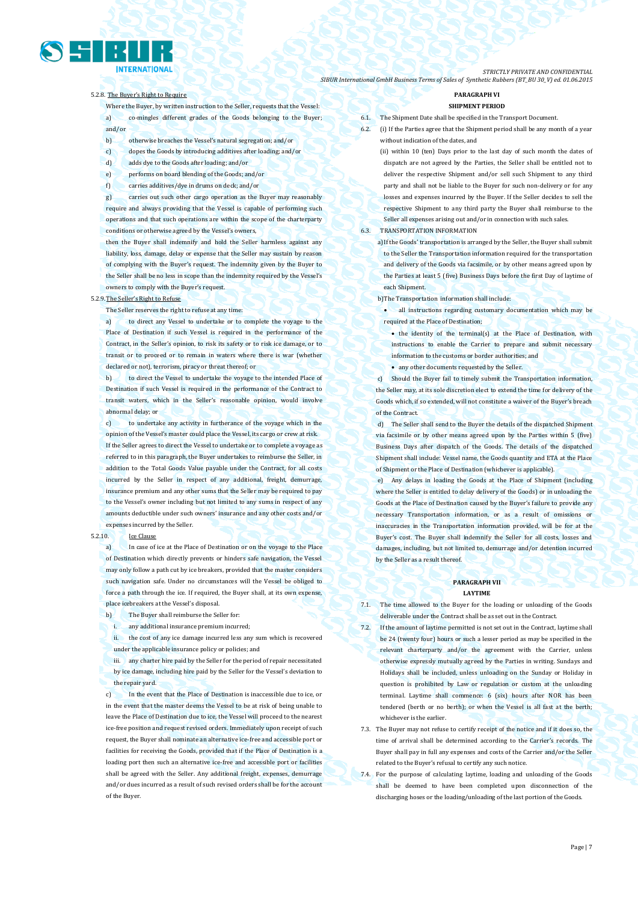7.4. For the purpose of calculating laytime, loading and unloading of the Goods

Page | 7

*STRICTLY PRIVATE AND CONFIDENTIAL SIBUR International GmbH Business Terms of Sales of Synthetic Rubbers (BT\_BU 30\_V) ed. 01.06.2015*

### 5.2.8. The Buyer's Right to Require

Where the Buyer, by written instruction to the Seller, requests that the Vessel: a) co-mingles different grades of the Goods belonging to the Buyer; and/or

- b) otherwise breaches the Vessel's natural segregation; and/or
- c) dopes the Goods by introducing additives after loading; and/or
- d) adds dye to the Goods after loading; and/or
- e) performs on board blending of the Goods; and/or
- f) carries additives/dye in drums on deck; and/or

g) carries out such other cargo operation as the Buyer may reasonably require and always providing that the Vessel is capable of performing such operations and that such operations are within the scope of the charterparty conditions or otherwise agreed by the Vessel's owners,

then the Buyer shall indemnify and hold the Seller harmless against any liability, loss, damage, delay or expense that the Seller may sustain by reason of complying with the Buyer's request. The indemnity given by the Buyer to the Seller shall be no less in scope than the indemnity required by the Vessel's owners to comply with the Buyer's request.

### 5.2.9.The Seller's Right to Refuse

The Seller reserves the right to refuse at any time:

a) to direct any Vessel to undertake or to complete the voyage to the Place of Destination if such Vessel is required in the performance of the Contract, in the Seller's opinion, to risk its safety or to risk ice damage, or to transit or to proceed or to remain in waters where there is war (whether declared or not), terrorism, piracy or threat thereof; or

b) to direct the Vessel to undertake the voyage to the intended Place of Destination if such Vessel is required in the performance of the Contract to transit waters, which in the Seller's reasonable opinion, would involve abnormal delay; or

c) to undertake any activity in furtherance of the voyage which in the opinion of the Vessel's master could place the Vessel, its cargo or crew at risk. If the Seller agrees to direct the Vessel to undertake or to complete a voyage as referred to in this paragraph, the Buyer undertakes to reimburse the Seller, in addition to the Total Goods Value payable under the Contract, for all costs incurred by the Seller in respect of any additional, freight, demurrage, insurance premium and any other sums that the Seller may be required to pay to the Vessel's owner including but not limited to any sums in respect of any amounts deductible under such owners' insurance and any other costs and/or expenses incurred by the Seller.

#### 5.2.10. Ice Clause

a) In case of ice at the Place of Destination or on the voyage to the Place of Destination which directly prevents or hinders safe navigation, the Vessel may only follow a path cut by ice breakers, provided that the master considers such navigation safe. Under no circumstances will the Vessel be obliged to force a path through the ice. If required, the Buyer shall, at its own expense, place icebreakers at the Vessel's disposal.

- b) The Buyer shall reimburse the Seller for:
	- i. any additional insurance premium incurred;

ii. the cost of any ice damage incurred less any sum which is recovered under the applicable insurance policy or policies; and

iii. any charter hire paid by the Seller for the period of repair necessitated by ice damage, including hire paid by the Seller for the Vessel's deviation to the repair yard.

c) In the event that the Place of Destination is inaccessible due to ice, or in the event that the master deems the Vessel to be at risk of being unable to leave the Place of Destination due to ice, the Vessel will proceed to the nearest ice-free position and request revised orders. Immediately upon receipt of such request, the Buyer shall nominate an alternative ice-free and accessible port or facilities for receiving the Goods, provided that if the Place of Destination is a loading port then such an alternative ice-free and accessible port or facilities shall be agreed with the Seller. Any additional freight, expenses, demurrage and/or dues incurred as a result of such revised orders shall be for the account of the Buyer.

### **PARAGRAPH VI SHIPMENT PERIOD**

- **The Shipment Date shall be specified in the Transport Document.**
- 6.2. (i) If the Parties agree that the Shipment period shall be any month of a year without indication of the dates, and

(ii) within 10 (ten) Days prior to the last day of such month the dates of dispatch are not agreed by the Parties, the Seller shall be entitled not to deliver the respective Shipment and/or sell such Shipment to any third party and shall not be liable to the Buyer for such non-delivery or for any losses and expenses incurred by the Buyer. If the Seller decides to sell the respective Shipment to any third party the Buyer shall reimburse to the Seller all expenses arising out and/or in connection with such sales.

### 6.3. TRANSPORTATION INFORMATION

a)If the Goods' transportation is arranged by the Seller, the Buyer shall submit to the Seller the Transportation information required for the transportation and delivery of the Goods via facsimile, or by other means agreed upon by the Parties at least 5 (five) Business Days before the first Day of laytime of each Shipment.

b)The Transportation information shall include:

 all instructions regarding customary documentation which may be required at the Place of Destination;

- $\bullet$  the identity of the terminal(s) at the Place of Destination, with instructions to enable the Carrier to prepare and submit necessary information to the customs or border authorities; and
- any other documents requested by the Seller.

Should the Buyer fail to timely submit the Transportation information, the Seller may, at its sole discretion elect to extend the time for delivery of the Goods which, if so extended, will not constitute a waiver of the Buyer's breach of the Contract.

d) The Seller shall send to the Buyer the details of the dispatched Shipment via facsimile or by other means agreed upon by the Parties within 5 (five) Business Days after dispatch of the Goods. The details of the dispatched Shipment shall include: Vessel name, the Goods quantity and ETA at the Place of Shipment or the Place of Destination (whichever is applicable).

Any delays in loading the Goods at the Place of Shipment (including where the Seller is entitled to delay delivery of the Goods) or in unloading the Goods at the Place of Destination caused by the Buyer's failure to provide any necessary Transportation information, or as a result of omissions or inaccuracies in the Transportation information provided, will be for at the Buyer's cost. The Buyer shall indemnify the Seller for all costs, losses and damages, including, but not limited to, demurrage and/or detention incurred by the Seller as a result thereof.

### **PARAGRAPH VII LAYTIME**

- 7.1. The time allowed to the Buyer for the loading or unloading of the Goods deliverable under the Contract shall be as set out in the Contract.
- 7.2. If the amount of laytime permitted is not set out in the Contract, laytime shall be 24 (twenty four) hours or such a lesser period as may be specified in the relevant charterparty and/or the agreement with the Carrier, unless otherwise expressly mutually agreed by the Parties in writing. Sundays and Holidays shall be included, unless unloading on the Sunday or Holiday in question is prohibited by Law or regulation or custom at the unloading terminal. Laytime shall commence: 6 (six) hours after NOR has been tendered (berth or no berth); or when the Vessel is all fast at the berth; whichever is the earlier.

7.3. The Buyer may not refuse to certify receipt of the notice and if it does so, the time of arrival shall be determined according to the Carrier's records. The Buyer shall pay in full any expenses and costs of the Carrier and/or the Seller related to the Buyer's refusal to certify any such notice.

shall be deemed to have been completed upon disconnection of the discharging hoses or the loading/unloading of the last portion of the Goods.

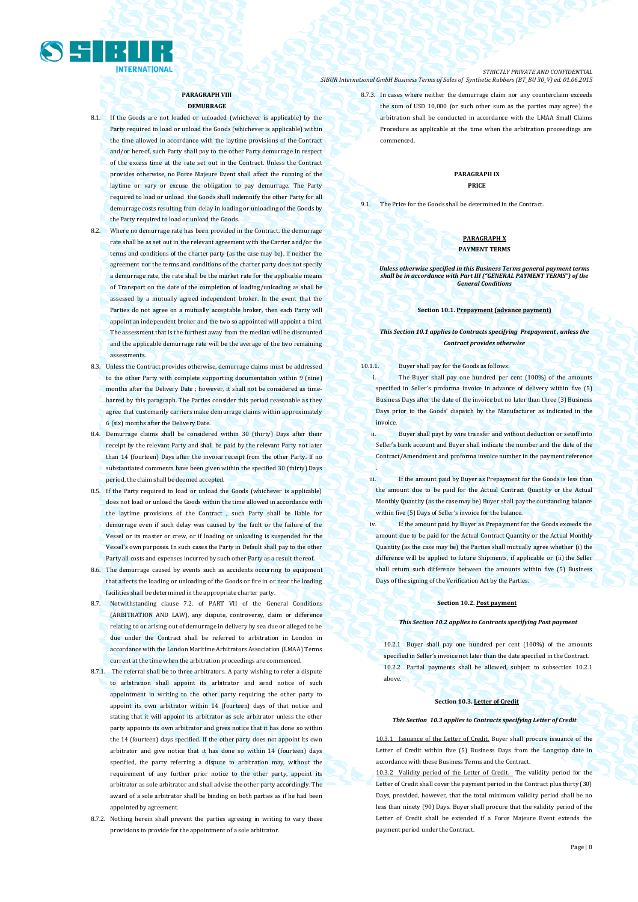

**PARAGRAPH VIII DEMURRAGE**

- 8.1. If the Goods are not loaded or unloaded (whichever is applicable) by the Party required to load or unload the Goods (whichever is applicable) within the time allowed in accordance with the laytime provisions of the Contract and/or hereof, such Party shall pay to the other Party demurrage in respect of the excess time at the rate set out in the Contract. Unless the Contract provides otherwise, no Force Majeure Event shall affect the running of the laytime or vary or excuse the obligation to pay demurrage. The Party required to load or unload the Goods shall indemnify the other Party for all demurrage costs resulting from delay in loading or unloading of the Goods by the Party required to load or unload the Goods.
- 8.2. Where no demurrage rate has been provided in the Contract, the demurrage rate shall be as set out in the relevant agreement with the Carrier and/or the terms and conditions of the charter party (as the case may be), if neither the agreement nor the terms and conditions of the charter party does not specify a demurrage rate, the rate shall be the market rate for the applicable means of Transport on the date of the completion of loading/unloading as shall be assessed by a mutually agreed independent broker. In the event that the Parties do not agree on a mutually acceptable broker, then each Party will appoint an independent broker and the two so appointed will appoint a third. The assessment that is the furthest away from the median will be discounted and the applicable demurrage rate will be the average of the two remaining assessments.
- 8.3. Unless the Contract provides otherwise, demurrage claims must be addressed to the other Party with complete supporting documentation within 9 (nine) months after the Delivery Date ; however, it shall not be considered as timebarred by this paragraph. The Parties consider this period reasonable as they agree that customarily carriers make demurrage claims within approximately 6 (six) months after the Delivery Date.
- 8.4. Demurrage claims shall be considered within 30 (thirty) Days after their receipt by the relevant Party and shall be paid by the relevant Party not later than 14 (fourteen) Days after the invoice receipt from the other Party. If no substantiated comments have been given within the specified 30 (thirty) Days period, the claim shall be deemed accepted.
- 8.5. If the Party required to load or unload the Goods (whichever is applicable) does not load or unload the Goods within the time allowed in accordance with the laytime provisions of the Contract , such Party shall be liable for demurrage even if such delay was caused by the fault or the failure of the Vessel or its master or crew, or if loading or unloading is suspended for the Vessel's own purposes. In such cases the Party in Default shall pay to the other Party all costs and expenses incurred by such other Party as a result thereof.
- 8.6. The demurrage caused by events such as accidents occurring to equipment that affects the loading or unloading of the Goods or fire in or near the loading facilities shall be determined in the appropriate charter party.
- 8.7. Notwithstanding clause 7.2. of PART VII of the General Conditions (ARBITRATION AND LAW), any dispute, controversy, claim or difference relating to or arising out of demurrage in delivery by sea due or alleged to be due under the Contract shall be referred to arbitration in London in accordance with the London Maritime Arbitrators Association (LMAA) Terms current at the time when the arbitration proceedings are commenced.
- 8.7.1. The referral shall be to three arbitrators. A party wishing to refer a dispute to arbitration shall appoint its arbitrator and send notice of such appointment in writing to the other party requiring the other party to appoint its own arbitrator within 14 (fourteen) days of that notice and stating that it will appoint its arbitrator as sole arbitrator unless the other party appoints its own arbitrator and gives notice that it has done so within the 14 (fourteen) days specified. If the other party does not appoint its own arbitrator and give notice that it has done so within 14 (fourteen) days specified, the party referring a dispute to arbitration may, without the requirement of any further prior notice to the other party, appoint its arbitrator as sole arbitrator and shall advise the other party accordingly. The award of a sole arbitrator shall be binding on both parties as if he had been appointed by agreement.
- 8.7.2. Nothing herein shall prevent the parties agreeing in writing to vary these provisions to provide for the appointment of a sole arbitrator.

*STRICTLY PRIVATE AND CONFIDENTIAL SIBUR International GmbH Business Terms of Sales of Synthetic Rubbers (BT\_BU 30\_V) ed. 01.06.2015*

> 8.7.3. In cases where neither the demurrage claim nor any counterclaim exceeds the sum of USD 10,000 (or such other sum as the parties may agree) the arbitration shall be conducted in accordance with the LMAA Small Claims Procedure as applicable at the time when the arbitration proceedings are commenced.

### **PARAGRAPH IX PRICE**

9.1. The Price for the Goods shall be determined in the Contract.

### **PARAGRAPH X PAYMENT TERMS**

### *Unless otherwise specified in this Business Terms general payment terms shall be in accordance with Part III ("GENERAL PAYMENT TERMS") of the General Conditions*

### **Section 10.1. Prepayment (advance payment)**

### *This Section 10.1 applies to Contracts specifying Prepayment , unless the Contract provides otherwise*

10.1.1. Buyer shall pay for the Goods as follows:

.

The Buyer shall pay one hundred per cent (100%) of the amounts specified in Seller's proforma invoice in advance of delivery within five (5) Business Days after the date of the invoice but no later than three (3) Business Days prior to the Goods' dispatch by the Manufacturer as indicated in the invoice.

ii. Buyer shall payt by wire transfer and without deduction or setoff into Seller's bank account and Buyer shall indicate the number and the date of the Contract/Amendment and proforma invoice number in the payment reference

iii. If the amount paid by Buyer as Prepayment for the Goods is less than the amount due to be paid for the Actual Contract Quantity or the Actual Monthly Quantity (as the case may be) Buyer shall pay the outstanding balance within five (5) Days of Seller's invoice for the balance.

iv. If the amount paid by Buyer as Prepayment for the Goods exceeds the amount due to be paid for the Actual Contract Quantity or the Actual Monthly Quantity (as the case may be) the Parties shall mutually agree whether (i) the difference will be applied to future Shipments, if applicable or (ii) the Seller shall return such difference between the amounts within five (5) Business Days of the signing of the Verification Act by the Parties.

### **Section 10.2. Post payment**

*This Section 10.2 applies to Contracts specifying Post payment*

10.2.1 Buyer shall pay one hundred per cent (100%) of the amounts specified in Seller's invoice not later than the date specified in the Contract. 10.2.2 Partial payments shall be allowed, subject to subsection 10.2.1 above.

### **Section 10.3. Letter of Credit**

#### *This Section 10.3 applies to Contracts specifying Letter of Credit*

of the Letter of Credit. Buyer shall procure issuance of the Letter of Credit within five (5) Business Days from the Longstop date in accordance with these Business Terms and the Contract.

10.3.2 Validity period of the Letter of Credit. The validity period for the Letter of Credit shall cover the payment period in the Contract plus thirty (30) Days, provided, however, that the total minimum validity period shall be no less than ninety (90) Days. Buyer shall procure that the validity period of the Letter of Credit shall be extended if a Force Majeure Event extends the payment period under the Contract.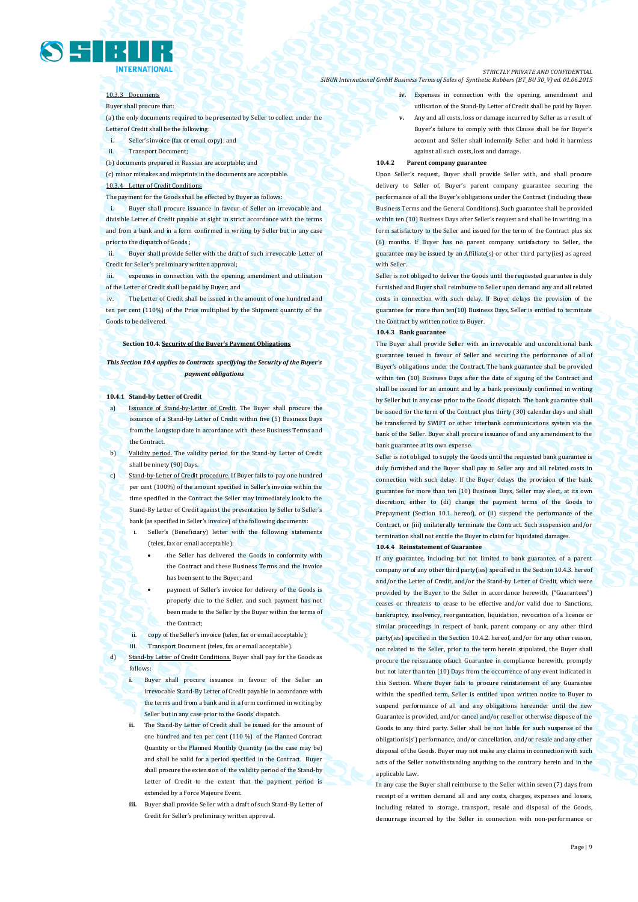

### 10.3.3 Documents

Buyer shall procure that:

(a) the only documents required to be presented by Seller to collect under the Letter of Credit shall be the following:

- i. Seller's invoice (fax or email copy); and
- ii. Transport Document;

(b) documents prepared in Russian are acceptable; and

(c) minor mistakes and misprints in the documents are acceptable. 10,3.4 Letter of Credit Conditions

The payment for the Goods shall be effected by Buyer as follows:

i. Buyer shall procure issuance in favour of Seller an irrevocable and divisible Letter of Credit payable at sight in strict accordance with the terms and from a bank and in a form confirmed in writing by Seller but in any case prior to the dispatch of Goods ;

Buyer shall provide Seller with the draft of such irrevocable Letter of Credit for Seller's preliminary written approval;

expenses in connection with the opening, amendment and utilisation of the Letter of Credit shall be paid by Buyer; and

iv. The Letter of Credit shall be issued in the amount of one hundred and ten per cent (110%) of the Price multiplied by the Shipment quantity of the Goods to be delivered.

### **Section 10.4. Security of the Buyer's Payment Obligations**

*This Section 10.4 applies to Contracts specifying the Security of the Buyer's payment obligations*

### **10.4.1 Stand-by Letter of Credit**

Issuance of Stand-by-Letter of Credit. The Buyer shall procure the issuance of a Stand-by Letter of Credit within five (5) Business Days from the Longstop date in accordance with these Business Terms and the Contract.

b) Validity period. The validity period for the Stand-by Letter of Credit shall be ninety (90) Days.

c) Stand-by-Letter of Credit procedure. If Buyer fails to pay one hundred per cent (100%) of the amount specified in Seller's invoice within the time specified in the Contract the Seller may immediately look to the Stand-By Letter of Credit against the presentation by Seller to Seller's bank (as specified in Seller's invoice) of the following documents:

> Seller's (Beneficiary) letter with the following statements (telex, fax or email acceptable):

- the Seller has delivered the Goods in conformity with the Contract and these Business Terms and the invoice has been sent to the Buyer; and
- payment of Seller's invoice for delivery of the Goods is properly due to the Seller, and such payment has not been made to the Seller by the Buyer within the terms of the Contract;
- ii. copy of the Seller's invoice (telex, fax or email acceptable);
- iii. Transport Document (telex, fax or email acceptable).

Stand-by Letter of Credit Conditions. Buyer shall pay for the Goods as follows:

**i.** Buyer shall procure issuance in favour of the Seller an irrevocable Stand-By Letter of Credit payable in accordance with the terms and from a bank and in a form confirmed in writing by Seller but in any case prior to the Goods' dispatch.

- **ii.** The Stand-By Letter of Credit shall be issued for the amount of one hundred and ten per cent (110 %) of the Planned Contract Quantity or the Planned Monthly Quantity (as the case may be) and shall be valid for a period specified in the Contract. Buyer shall procure the extension of the validity period of the Stand-by Letter of Credit to the extent that the payment period is extended by a Force Majeure Event.
- **iii.** Buyer shall provide Seller with a draft of such Stand-By Letter of Credit for Seller's preliminary written approval.

#### *STRICTLY PRIVATE AND CONFIDENTIAL SIBUR International GmbH Business Terms of Sales of Synthetic Rubbers (BT\_BU 30\_V) ed. 01.06.2015*

**iv.** Expenses in connection with the opening, amendment and utilisation of the Stand-By Letter of Credit shall be paid by Buyer.

**v.** Any and all costs, loss or damage incurred by Seller as a result of Buyer's failure to comply with this Clause shall be for Buyer's account and Seller shall indemnify Seller and hold it harmless against all such costs, loss and damage.

#### **10.4.2 Parent company guarantee**

Upon Seller's request, Buyer shall provide Seller with, and shall procure delivery to Seller of, Buyer's parent company guarantee securing the performance of all the Buyer's obligations under the Contract (including these Business Terms and the General Conditions). Such guarantee shall be provided within ten (10) Business Days after Seller's request and shall be in writing, in a form satisfactory to the Seller and issued for the term of the Contract plus six (6) months. If Buyer has no parent company satisfactory to Seller, the guarantee may be issued by an Affiliate(s) or other third party(ies) as agreed with Seller

Seller is not obliged to deliver the Goods until the requested guarantee is duly furnished and Buyer shall reimburse to Seller upon demand any and all related costs in connection with such delay. If Buyer delays the provision of the guarantee for more than ten(10) Business Days, Seller is entitled to terminate the Contract by written notice to Buyer.

### **10.4.3 Bank guarantee**

The Buyer shall provide Seller with an irrevocable and unconditional bank guarantee issued in favour of Seller and securing the performance of all of Buyer's obligations under the Contract. The bank guarantee shall be provided within ten (10) Business Days after the date of signing of the Contract and shall be issued for an amount and by a bank previously confirmed in writing by Seller but in any case prior to the Goods' dispatch. The bank guarantee shall be issued for the term of the Contract plus thirty (30) calendar days and shall be transferred by SWIFT or other interbank communications system via the bank of the Seller. Buyer shall procure issuance of and any amendment to the bank guarantee at its own expense.

Seller is not obliged to supply the Goods until the requested bank guarantee is duly furnished and the Buyer shall pay to Seller any and all related costs in connection with such delay. If the Buyer delays the provision of the bank guarantee for more than ten (10) Business Days, Seller may elect, at its own discretion, either to (di) change the payment terms of the Goods to Prepayment (Section 10.1. hereof), or (ii) suspend the performance of the Contract, or (iii) unilaterally terminate the Contract. Such suspension and/or termination shall not entitle the Buyer to claim for liquidated damages.

### **10.4.4 Reinstatement of Guarantee**

If any guarantee, including but not limited to bank guarantee, of a parent company or of any other third party(ies) specified in the Section 10.4.3. hereof and/or the Letter of Credit, and/or the Stand-by Letter of Credit, which were provided by the Buyer to the Seller in accordance herewith, ("Guarantees") ceases or threatens to cease to be effective and/or valid due to Sanctions, bankruptcy, insolvency, reorganization, liquidation, revocation of a licence or similar proceedings in respect of bank, parent company or any other third party(ies) specified in the Section 10.4.2. hereof, and/or for any other reason, not related to the Seller, prior to the term herein stipulated, the Buyer shall procure the reissuance ofsuch Guarantee in compliance herewith, promptly but not later than ten (10) Days from the occurrence of any event indicated in this Section. Where Buyer fails to procure reinstatement of any Guarantee within the specified term, Seller is entitled upon written notice to Buyer to suspend performance of all and any obligations hereunder until the new Guarantee is provided, and/or cancel and/or resell or otherwise dispose of the Goods to any third party. Seller shall be not liable for such suspense of the obligation's(s') performance, and/or cancellation, and/or resale and any other disposal of the Goods. Buyer may not make any claims in connection with such acts of the Seller notwithstanding anything to the contrary herein and in the applicable Law.

In any case the Buyer shall reimburse to the Seller within seven (7) days from receipt of a written demand all and any costs, charges, expenses and losses, including related to storage, transport, resale and disposal of the Goods, demurrage incurred by the Seller in connection with non-performance or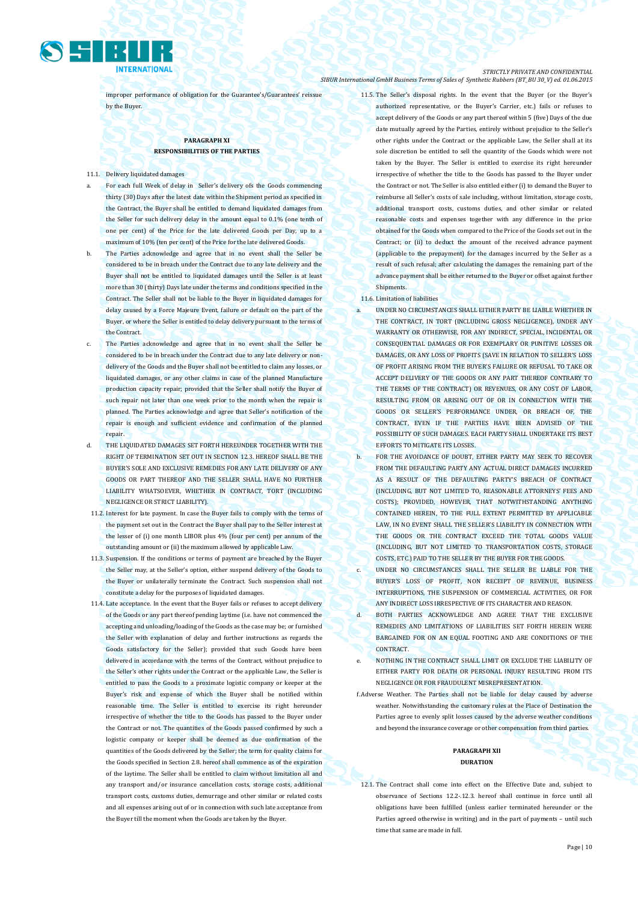

improper performance of obligation for the Guarantee's/Guarantees' reissue by the Buyer.

### **PARAGRAPH XI RESPONSIBILITIES OF THE PARTIES**

11.1. Delivery liquidated damages

- For each full Week of delay in Seller's delivery ofs the Goods commencing thirty (30) Days after the latest date within the Shipment period as specified in the Contract, the Buyer shall be entitled to demand liquidated damages from the Seller for such delivery delay in the amount equal to 0.1% (one tenth of one per cent) of the Price for the late delivered Goods per Day, up to a maximum of 10% (ten per cent) of the Price for the late delivered Goods.
- b. The Parties acknowledge and agree that in no event shall the Seller be considered to be in breach under the Contract due to any late delivery and the Buyer shall not be entitled to liquidated damages until the Seller is at least more than 30 (thirty) Days late under the terms and conditions specified in the Contract. The Seller shall not be liable to the Buyer in liquidated damages for delay caused by a Force Majeure Event, failure or default on the part of the Buyer, or where the Seller is entitled to delay delivery pursuant to the terms of the Contract.
- The Parties acknowledge and agree that in no event shall the Seller be considered to be in breach under the Contract due to any late delivery or nondelivery of the Goods and the Buyer shall not be entitled to claim any losses, or liquidated damages, or any other claims in case of the planned Manufacture production capacity repair; provided that the Seller shall notify the Buyer of such repair not later than one week prior to the month when the repair is planned. The Parties acknowledge and agree that Seller's notification of the repair is enough and sufficient evidence and confirmation of the planned repair.
- d. THE LIQUIDATED DAMAGES SET FORTH HEREUNDER TOGETHER WITH THE RIGHT OF TERMINATION SET OUT IN SECTION 12.3. HEREOF SHALL BE THE BUYER'S SOLE AND EXCLUSIVE REMEDIES FOR ANY LATE DELIVERY OF ANY GOODS OR PART THEREOF AND THE SELLER SHALL HAVE NO FURTHER LIABILITY WHATSOEVER, WHETHER IN CONTRACT, TORT (INCLUDING NEGLIGENCE OR STRICT LIABILITY).
- 11.2. Interest for late payment. In case the Buyer fails to comply with the terms of the payment set out in the Contract the Buyer shall pay to the Seller interest at the lesser of (i) one month LIBOR plus 4% (four per cent) per annum of the outstanding amount or (ii) the maximum allowed by applicable Law.
- 11.3. Suspension. If the conditions or terms of payment are breached by the Buyer the Seller may, at the Seller's option, either suspend delivery of the Goods to the Buyer or unilaterally terminate the Contract. Such suspension shall not constitute a delay for the purposes of liquidated damages.
- 11.4. Late acceptance. In the event that the Buyer fails or refuses to accept delivery of the Goods or any part thereof pending laytime (i.e. have not commenced the accepting and unloading/loading of the Goods as the case may be; or furnished the Seller with explanation of delay and further instructions as regards the Goods satisfactory for the Seller); provided that such Goods have been delivered in accordance with the terms of the Contract, without prejudice to the Seller's other rights under the Contract or the applicable Law, the Seller is entitled to pass the Goods to a proximate logistic company or keeper at the Buyer's risk and expense of which the Buyer shall be notified within reasonable time. The Seller is entitled to exercise its right hereunder irrespective of whether the title to the Goods has passed to the Buyer under the Contract or not. The quantities of the Goods passed confirmed by such a logistic company or keeper shall be deemed as due confirmation of the quantities of the Goods delivered by the Seller; the term for quality claims for the Goods specified in Section 2.8. hereof shall commence as of the expiration of the laytime. The Seller shall be entitled to claim without limitation all and any transport and/or insurance cancellation costs, storage costs, additional transport costs, customs duties, demurrage and other similar or related costs and all expenses arising out of or in connection with such late acceptance from the Buyer till the moment when the Goods are taken by the Buyer.

11.5. The Seller's disposal rights. In the event that the Buyer (or the Buyer's authorized representative, or the Buyer's Carrier, etc.) fails or refuses to accept delivery of the Goods or any part thereof within 5 (five) Days of the due date mutually agreed by the Parties, entirely without prejudice to the Seller's other rights under the Contract or the applicable Law, the Seller shall at its sole discretion be entitled to sell the quantity of the Goods which were not taken by the Buyer. The Seller is entitled to exercise its right hereunder irrespective of whether the title to the Goods has passed to the Buyer under the Contract or not. The Seller is also entitled either (i) to demand the Buyer to reimburse all Seller's costs of sale including, without limitation, storage costs, additional transport costs, customs duties, and other similar or related reasonable costs and expenses together with any difference in the price obtained for the Goods when compared to the Price of the Goods set out in the Contract: or (ii) to deduct the amount of the received advance payment (applicable to the prepayment) for the damages incurred by the Seller as a result of such refusal; after calculating the damages the remaining part of the advance payment shall be either returned to the Buyer or offset against further **Shipments** 

### 11.6. Limitation of liabilities

- UNDER NO CIRCUMSTANCES SHALL EITHER PARTY BE LIABLE WHETHER IN THE CONTRACT, IN TORT (INCLUDING GROSS NEGLIGENCE), UNDER ANY WARRANTY OR OTHERWISE, FOR ANY INDIRECT, SPECIAL, INCIDENTAL OR CONSEQUENTIAL DAMAGES OR FOR EXEMPLARY OR PUNITIVE LOSSES OR DAMAGES, OR ANY LOSS OF PROFITS (SAVE IN RELATION TO SELLER'S LOSS OF PROFIT ARISING FROM THE BUYER'S FAILURE OR REFUSAL TO TAKE OR ACCEPT DELIVERY OF THE GOODS OR ANY PART THEREOF CONTRARY TO THE TERMS OF THE CONTRACT) OR REVENUES, OR ANY COST OF LABOR, RESULTING FROM OR ARISING OUT OF OR IN CONNECTION WITH THE GOODS OR SELLER'S PERFORMANCE UNDER, OR BREACH OF, THE CONTRACT, EVEN IF THE PARTIES HAVE BEEN ADVISED OF THE POSSIBILITY OF SUCH DAMAGES. EACH PARTY SHALL UNDERTAKE ITS BEST EFFORTS TO MITIGATE ITS LOSSES.
- b. FOR THE AVOIDANCE OF DOUBT, EITHER PARTY MAY SEEK TO RECOVER FROM THE DEFAULTING PARTY ANY ACTUAL DIRECT DAMAGES INCURRED AS A RESULT OF THE DEFAULTING PARTY'S BREACH OF CONTRACT (INCLUDING, BUT NOT LIMITED TO, REASONABLE ATTORNEYS' FEES AND COSTS); PROVIDED, HOWEVER, THAT NOTWITHSTANDING ANYTHING CONTAINED HEREIN, TO THE FULL EXTENT PERMITTED BY APPLICABLE LAW, IN NO EVENT SHALL THE SELLER'S LIABILITY IN CONNECTION WITH THE GOODS OR THE CONTRACT EXCEED THE TOTAL GOODS VALUE (INCLUDING, BUT NOT LIMITED TO TRANSPORTATION COSTS, STORAGE COSTS, ETC.) PAID TO THE SELLER BY THE BUYER FOR THE GOODS.
- c. UNDER NO CIRCUMSTANCES SHALL THE SELLER BE LIABLE FOR THE BUYER'S LOSS OF PROFIT, NON RECEIPT OF REVENUE, BUSINESS INTERRUPTIONS, THE SUSPENSION OF COMMERCIAL ACTIVITIES, OR FOR ANY INDIRECT LOSS IRRESPECTIVE OF ITS CHARACTER AND REASON.
- d. BOTH PARTIES ACKNOWLEDGE AND AGREE THAT THE EXCLUSIVE REMEDIES AND LIMITATIONS OF LIABILITIES SET FORTH HEREIN WERE BARGAINED FOR ON AN EQUAL FOOTING AND ARE CONDITIONS OF THE **CONTRACT**
- e. NOTHING IN THE CONTRACT SHALL LIMIT OR EXCLUDE THE LIABILITY OF EITHER PARTY FOR DEATH OR PERSONAL INJURY RESULTING FROM ITS NEGLIGENCE OR FOR FRAUDULENT MISREPRESENTATION.
- f.Adverse Weather. The Parties shall not be liable for delay caused by adverse weather. Notwithstanding the customary rules at the Place of Destination the Parties agree to evenly split losses caused by the adverse weather conditions and beyond the insurance coverage or other compensation from third parties.

### **PARAGRAPH XII DURATION**

12.1. The Contract shall come into effect on the Effective Date and, subject to observance of Sections 12.2-.12.3. hereof shall continue in force until all obligations have been fulfilled (unless earlier terminated hereunder or the Parties agreed otherwise in writing) and in the part of payments – until such time that same are made in full.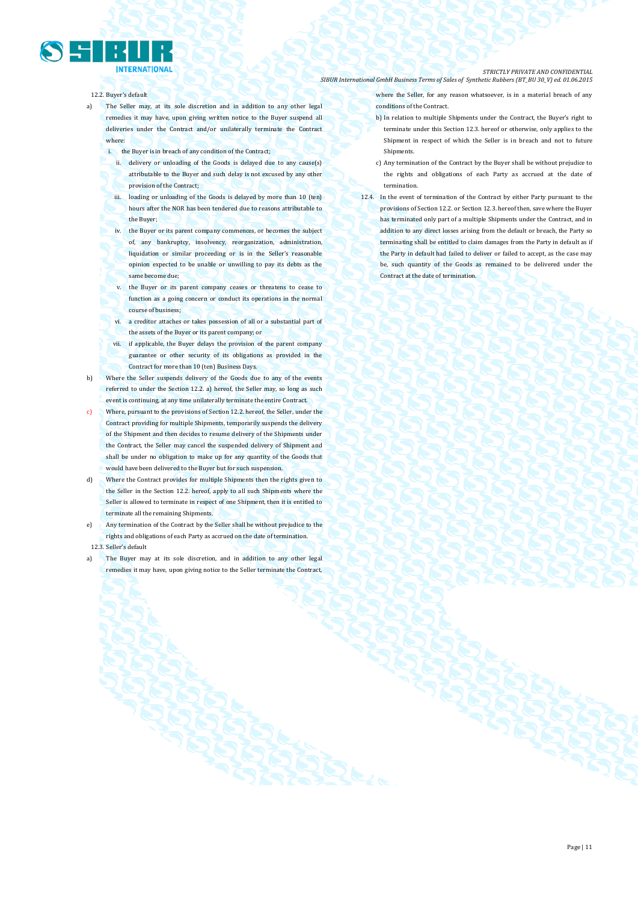- 12.2. Buyer's default
- a) The Seller may, at its sole discretion and in addition to any other legal remedies it may have, upon giving written notice to the Buyer suspend all deliveries under the Contract and/or unilaterally terminate the Contract where:
	- i. the Buyer is in breach of any condition of the Contract;
		- ii. delivery or unloading of the Goods is delayed due to any cause(s) attributable to the Buyer and such delay is not excused by any other provision of the Contract;
		- iii. loading or unloading of the Goods is delayed by more than 10 (ten) hours after the NOR has been tendered due to reasons attributable to the Buyer;
		- iv. the Buyer or its parent company commences, or becomes the subject of, any bankruptcy, insolvency, reorganization, administration, liquidation or similar proceeding or is in the Seller's reasonable opinion expected to be unable or unwilling to pay its debts as the same become due;
		- v. the Buyer or its parent company ceases or threatens to cease to function as a going concern or conduct its operations in the normal course of business;
		- vi. a creditor attaches or takes possession of all or a substantial part of the assets of the Buyer or its parent company; or
	- vii. if applicable, the Buyer delays the provision of the parent company guarantee or other security of its obligations as provided in the Contract for more than 10 (ten) Business Days.
- b) Where the Seller suspends delivery of the Goods due to any of the events referred to under the Section 12.2. a) hereof, the Seller may, so long as such event is continuing, at any time unilaterally terminate the entire Contract.
- c) Where, pursuant to the provisions of Section 12.2. hereof, the Seller, under the Contract providing for multiple Shipments, temporarily suspends the delivery of the Shipment and then decides to resume delivery of the Shipments under the Contract, the Seller may cancel the suspended delivery of Shipment and shall be under no obligation to make up for any quantity of the Goods that would have been delivered to the Buyer but for such suspension.
- d) Where the Contract provides for multiple Shipments then the rights given to the Seller in the Section 12.2. hereof, apply to all such Shipments where the Seller is allowed to terminate in respect of one Shipment, then it is entitled to terminate all the remaining Shipments.
- e) Any termination of the Contract by the Seller shall be without prejudice to the rights and obligations of each Party as accrued on the date of termination. 12.3. Seller's default
- a) The Buyer may at its sole discretion, and in addition to any other legal remedies it may have, upon giving notice to the Seller terminate the Contract,
- where the Seller, for any reason whatsoever, is in a material breach of any conditions of the Contract.
	- b) In relation to multiple Shipments under the Contract, the Buyer's right to terminate under this Section 12.3. hereof or otherwise, only applies to the Shipment in respect of which the Seller is in breach and not to future **Shinments**
- c) Any termination of the Contract by the Buyer shall be without prejudice to the rights and obligations of each Party as accrued at the date of termination.
- 12.4. In the event of termination of the Contract by either Party pursuant to the provisions of Section 12.2. or Section 12.3. hereof then, save where the Buyer has terminated only part of a multiple Shipments under the Contract, and in addition to any direct losses arising from the default or breach, the Party so terminating shall be entitled to claim damages from the Party in default as if the Party in default had failed to deliver or failed to accept, as the case may be, such quantity of the Goods as remained to be delivered under the Contract at the date of termination.